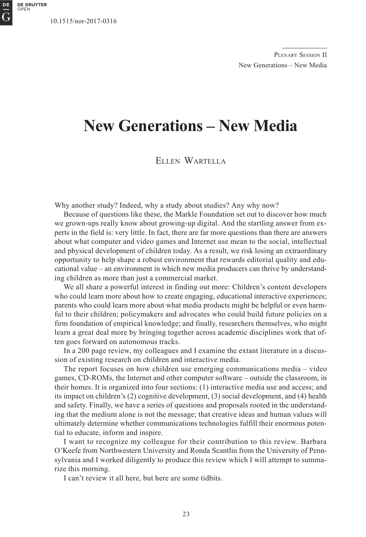DE **DE GRUYTER**<br>OPEN

# **New Generations – New Media**

ELLEN WARTELLA

Why another study? Indeed, why a study about studies? Any why now?

Because of questions like these, the Markle Foundation set out to discover how much we grown-ups really know about growing-up digital. And the startling answer from experts in the field is: very little. In fact, there are far more questions than there are answers about what computer and video games and Internet use mean to the social, intellectual and physical development of children today. As a result, we risk losing an extraordinary opportunity to help shape a robust environment that rewards editorial quality and educational value – an environment in which new media producers can thrive by understanding children as more than just a commercial market.

We all share a powerful interest in finding out more: Children's content developers who could learn more about how to create engaging, educational interactive experiences; parents who could learn more about what media products might be helpful or even harmful to their children; policymakers and advocates who could build future policies on a firm foundation of empirical knowledge; and finally, researchers themselves, who might learn a great deal more by bringing together across academic disciplines work that often goes forward on autonomous tracks.

In a 200 page review, my colleagues and I examine the extant literature in a discussion of existing research on children and interactive media.

The report focuses on how children use emerging communications media – video games, CD-ROMs, the Internet and other computer software – outside the classroom, in their homes. It is organized into four sections: (1) interactive media use and access; and its impact on children's (2) cognitive development, (3) social development, and (4) health and safety. Finally, we have a series of questions and proposals rooted in the understanding that the medium alone is not the message; that creative ideas and human values will ultimately determine whether communications technologies fulfill their enormous potential to educate, inform and inspire.

I want to recognize my colleague for their contribution to this review. Barbara O'Keefe from Northwestern University and Ronda Scantlin from the University of Pennsylvania and I worked diligently to produce this review which I will attempt to summarize this morning.

I can't review it all here, but here are some tidbits.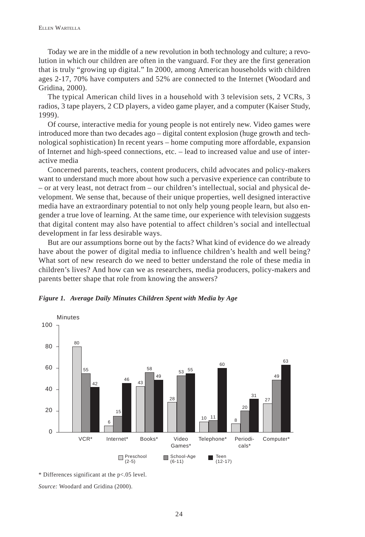Today we are in the middle of a new revolution in both technology and culture; a revolution in which our children are often in the vanguard. For they are the first generation that is truly "growing up digital." In 2000, among American households with children ages 2-17, 70% have computers and 52% are connected to the Internet (Woodard and Gridina, 2000).

The typical American child lives in a household with 3 television sets, 2 VCRs, 3 radios, 3 tape players, 2 CD players, a video game player, and a computer (Kaiser Study, 1999).

Of course, interactive media for young people is not entirely new. Video games were introduced more than two decades ago – digital content explosion (huge growth and technological sophistication) In recent years – home computing more affordable, expansion of Internet and high-speed connections, etc. – lead to increased value and use of interactive media

Concerned parents, teachers, content producers, child advocates and policy-makers want to understand much more about how such a pervasive experience can contribute to – or at very least, not detract from – our children's intellectual, social and physical development. We sense that, because of their unique properties, well designed interactive media have an extraordinary potential to not only help young people learn, but also engender a true love of learning. At the same time, our experience with television suggests that digital content may also have potential to affect children's social and intellectual development in far less desirable ways.

But are our assumptions borne out by the facts? What kind of evidence do we already have about the power of digital media to influence children's health and well being? What sort of new research do we need to better understand the role of these media in children's lives? And how can we as researchers, media producers, policy-makers and parents better shape that role from knowing the answers?





<sup>\*</sup> Differences significant at the p<.05 level.

*Source:* Woodard and Gridina (2000).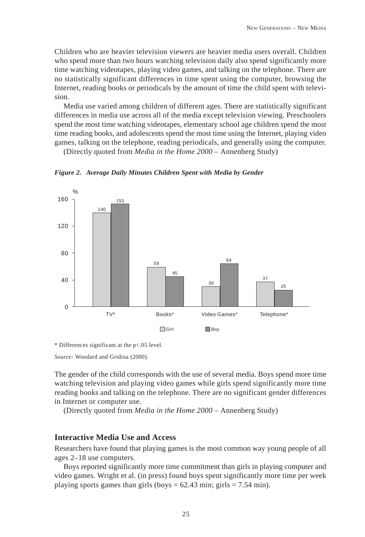Children who are heavier television viewers are heavier media users overall. Children who spend more than two hours watching television daily also spend significantly more time watching videotapes, playing video games, and talking on the telephone. There are no statistically significant differences in time spent using the computer, browsing the Internet, reading books or periodicals by the amount of time the child spent with television.

Media use varied among children of different ages. There are statistically significant differences in media use across all of the media except television viewing. Preschoolers spend the most time watching videotapes, elementary school age children spend the most time reading books, and adolescents spend the most time using the Internet, playing video games, talking on the telephone, reading periodicals, and generally using the computer.

(Directly quoted from *Media in the Home 2000* – Annenberg Study)



*Figure 2. Average Daily Minutes Children Spent with Media by Gender*

\* Differences significant at the p<.05 level.

*Source:* Woodard and Gridina (2000).

The gender of the child corresponds with the use of several media. Boys spend more time watching television and playing video games while girls spend significantly more time reading books and talking on the telephone. There are no significant gender differences in Internet or computer use.

(Directly quoted from *Media in the Home 2000* – Annenberg Study)

## **Interactive Media Use and Access**

Researchers have found that playing games is the most common way young people of all ages 2–18 use computers.

Boys reported significantly more time commitment than girls in playing computer and video games. Wright et al. (in press) found boys spent significantly more time per week playing sports games than girls (boys  $= 62.43$  min; girls  $= 7.54$  min).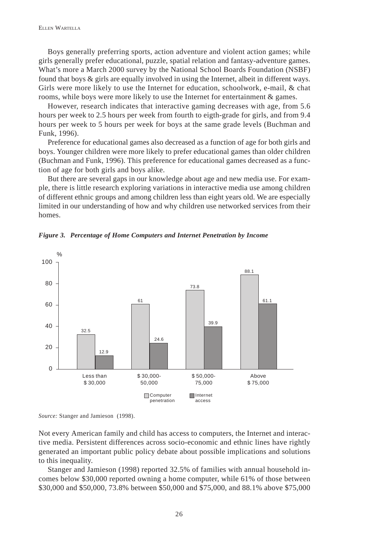Boys generally preferring sports, action adventure and violent action games; while girls generally prefer educational, puzzle, spatial relation and fantasy-adventure games. What's more a March 2000 survey by the National School Boards Foundation (NSBF) found that boys & girls are equally involved in using the Internet, albeit in different ways. Girls were more likely to use the Internet for education, schoolwork, e-mail, & chat rooms, while boys were more likely to use the Internet for entertainment & games.

However, research indicates that interactive gaming decreases with age, from 5.6 hours per week to 2.5 hours per week from fourth to eigth-grade for girls, and from 9.4 hours per week to 5 hours per week for boys at the same grade levels (Buchman and Funk, 1996).

Preference for educational games also decreased as a function of age for both girls and boys. Younger children were more likely to prefer educational games than older children (Buchman and Funk, 1996). This preference for educational games decreased as a function of age for both girls and boys alike.

But there are several gaps in our knowledge about age and new media use. For example, there is little research exploring variations in interactive media use among children of different ethnic groups and among children less than eight years old. We are especially limited in our understanding of how and why children use networked services from their homes.



*Figure 3. Percentage of Home Computers and Internet Penetration by Income*

Not every American family and child has access to computers, the Internet and interactive media. Persistent differences across socio-economic and ethnic lines have rightly generated an important public policy debate about possible implications and solutions to this inequality.

Stanger and Jamieson (1998) reported 32.5% of families with annual household incomes below \$30,000 reported owning a home computer, while 61% of those between \$30,000 and \$50,000, 73.8% between \$50,000 and \$75,000, and 88.1% above \$75,000

*Source:* Stanger and Jamieson (1998).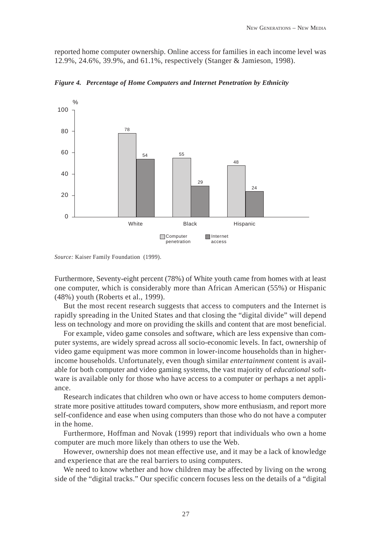reported home computer ownership. Online access for families in each income level was 12.9%, 24.6%, 39.9%, and 61.1%, respectively (Stanger & Jamieson, 1998).



*Figure 4. Percentage of Home Computers and Internet Penetration by Ethnicity*

Furthermore, Seventy-eight percent (78%) of White youth came from homes with at least one computer, which is considerably more than African American (55%) or Hispanic (48%) youth (Roberts et al., 1999).

But the most recent research suggests that access to computers and the Internet is rapidly spreading in the United States and that closing the "digital divide" will depend less on technology and more on providing the skills and content that are most beneficial.

For example, video game consoles and software, which are less expensive than computer systems, are widely spread across all socio-economic levels. In fact, ownership of video game equipment was more common in lower-income households than in higherincome households. Unfortunately, even though similar *entertainment* content is available for both computer and video gaming systems, the vast majority of *educational* software is available only for those who have access to a computer or perhaps a net appliance.

Research indicates that children who own or have access to home computers demonstrate more positive attitudes toward computers, show more enthusiasm, and report more self-confidence and ease when using computers than those who do not have a computer in the home.

Furthermore, Hoffman and Novak (1999) report that individuals who own a home computer are much more likely than others to use the Web.

However, ownership does not mean effective use, and it may be a lack of knowledge and experience that are the real barriers to using computers.

We need to know whether and how children may be affected by living on the wrong side of the "digital tracks." Our specific concern focuses less on the details of a "digital

*Source:* Kaiser Family Foundation (1999).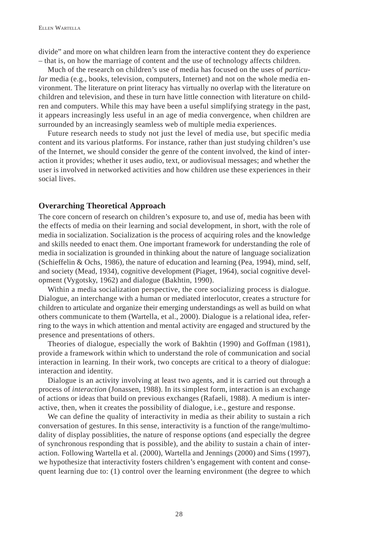divide" and more on what children learn from the interactive content they do experience – that is, on how the marriage of content and the use of technology affects children.

Much of the research on children's use of media has focused on the uses of *particular* media (e.g., books, television, computers, Internet) and not on the whole media environment. The literature on print literacy has virtually no overlap with the literature on children and television, and these in turn have little connection with literature on children and computers. While this may have been a useful simplifying strategy in the past, it appears increasingly less useful in an age of media convergence, when children are surrounded by an increasingly seamless web of multiple media experiences.

Future research needs to study not just the level of media use, but specific media content and its various platforms. For instance, rather than just studying children's use of the Internet, we should consider the genre of the content involved, the kind of interaction it provides; whether it uses audio, text, or audiovisual messages; and whether the user is involved in networked activities and how children use these experiences in their social lives.

## **Overarching Theoretical Approach**

The core concern of research on children's exposure to, and use of, media has been with the effects of media on their learning and social development, in short, with the role of media in socialization. Socialization is the process of acquiring roles and the knowledge and skills needed to enact them. One important framework for understanding the role of media in socialization is grounded in thinking about the nature of language socialization (Schieffelin & Ochs, 1986), the nature of education and learning (Pea, 1994), mind, self, and society (Mead, 1934), cognitive development (Piaget, 1964), social cognitive development (Vygotsky, 1962) and dialogue (Bakhtin, 1990).

Within a media socialization perspective, the core socializing process is dialogue. Dialogue, an interchange with a human or mediated interlocutor, creates a structure for children to articulate and organize their emerging understandings as well as build on what others communicate to them (Wartella, et al., 2000). Dialogue is a relational idea, referring to the ways in which attention and mental activity are engaged and structured by the presence and presentations of others.

Theories of dialogue, especially the work of Bakhtin (1990) and Goffman (1981), provide a framework within which to understand the role of communication and social interaction in learning. In their work, two concepts are critical to a theory of dialogue: interaction and identity.

Dialogue is an activity involving at least two agents, and it is carried out through a process of *interaction* (Jonassen, 1988). In its simplest form, interaction is an exchange of actions or ideas that build on previous exchanges (Rafaeli, 1988). A medium is interactive, then, when it creates the possibility of dialogue, i.e., gesture and response.

We can define the quality of interactivity in media as their ability to sustain a rich conversation of gestures. In this sense, interactivity is a function of the range/multimodality of display possiblities, the nature of response options (and especially the degree of synchronous responding that is possible), and the ability to sustain a chain of interaction. Following Wartella et al. (2000), Wartella and Jennings (2000) and Sims (1997), we hypothesize that interactivity fosters children's engagement with content and consequent learning due to: (1) control over the learning environment (the degree to which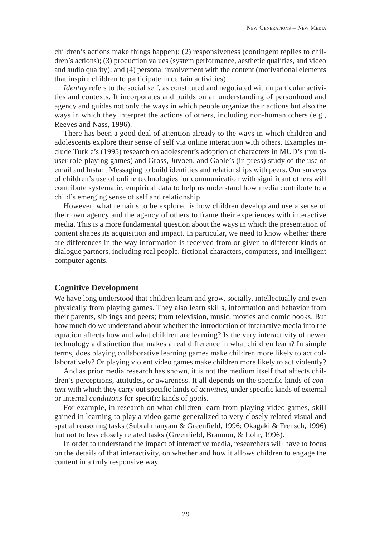children's actions make things happen); (2) responsiveness (contingent replies to children's actions); (3) production values (system performance, aesthetic qualities, and video and audio quality); and (4) personal involvement with the content (motivational elements that inspire children to participate in certain activities).

*Identity* refers to the social self, as constituted and negotiated within particular activities and contexts. It incorporates and builds on an understanding of personhood and agency and guides not only the ways in which people organize their actions but also the ways in which they interpret the actions of others, including non-human others (e.g., Reeves and Nass, 1996).

There has been a good deal of attention already to the ways in which children and adolescents explore their sense of self via online interaction with others. Examples include Turkle's (1995) research on adolescent's adoption of characters in MUD's (multiuser role-playing games) and Gross, Juvoen, and Gable's (in press) study of the use of email and Instant Messaging to build identities and relationships with peers. Our surveys of children's use of online technologies for communication with significant others will contribute systematic, empirical data to help us understand how media contribute to a child's emerging sense of self and relationship.

However, what remains to be explored is how children develop and use a sense of their own agency and the agency of others to frame their experiences with interactive media. This is a more fundamental question about the ways in which the presentation of content shapes its acquisition and impact. In particular, we need to know whether there are differences in the way information is received from or given to different kinds of dialogue partners, including real people, fictional characters, computers, and intelligent computer agents.

#### **Cognitive Development**

We have long understood that children learn and grow, socially, intellectually and even physically from playing games. They also learn skills, information and behavior from their parents, siblings and peers; from television, music, movies and comic books. But how much do we understand about whether the introduction of interactive media into the equation affects how and what children are learning? Is the very interactivity of newer technology a distinction that makes a real difference in what children learn? In simple terms, does playing collaborative learning games make children more likely to act collaboratively? Or playing violent video games make children more likely to act violently?

And as prior media research has shown, it is not the medium itself that affects children's perceptions, attitudes, or awareness. It all depends on the specific kinds of *content* with which they carry out specific kinds of *activities*, under specific kinds of external or internal *conditions* for specific kinds of *goals.*

For example, in research on what children learn from playing video games, skill gained in learning to play a video game generalized to very closely related visual and spatial reasoning tasks (Subrahmanyam & Greenfield, 1996; Okagaki & Frensch, 1996) but not to less closely related tasks (Greenfield, Brannon, & Lohr, 1996).

In order to understand the impact of interactive media, researchers will have to focus on the details of that interactivity, on whether and how it allows children to engage the content in a truly responsive way.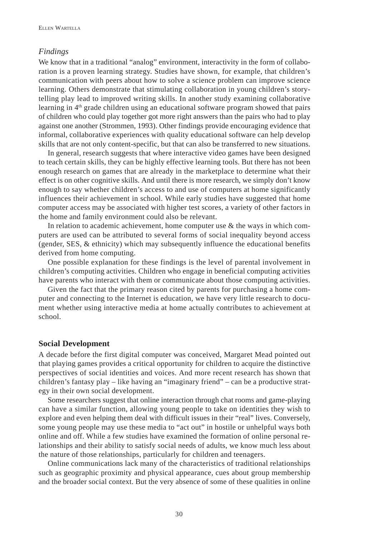## *Findings*

We know that in a traditional "analog" environment, interactivity in the form of collaboration is a proven learning strategy. Studies have shown, for example, that children's communication with peers about how to solve a science problem can improve science learning. Others demonstrate that stimulating collaboration in young children's storytelling play lead to improved writing skills. In another study examining collaborative learning in  $4<sup>th</sup>$  grade children using an educational software program showed that pairs of children who could play together got more right answers than the pairs who had to play against one another (Strommen, 1993). Other findings provide encouraging evidence that informal, collaborative experiences with quality educational software can help develop skills that are not only content-specific, but that can also be transferred to new situations.

In general, research suggests that where interactive video games have been designed to teach certain skills, they can be highly effective learning tools. But there has not been enough research on games that are already in the marketplace to determine what their effect is on other cognitive skills. And until there is more research, we simply don't know enough to say whether children's access to and use of computers at home significantly influences their achievement in school. While early studies have suggested that home computer access may be associated with higher test scores, a variety of other factors in the home and family environment could also be relevant.

In relation to academic achievement, home computer use  $\&$  the ways in which computers are used can be attributed to several forms of social inequality beyond access (gender, SES, & ethnicity) which may subsequently influence the educational benefits derived from home computing.

One possible explanation for these findings is the level of parental involvement in children's computing activities. Children who engage in beneficial computing activities have parents who interact with them or communicate about those computing activities.

Given the fact that the primary reason cited by parents for purchasing a home computer and connecting to the Internet is education, we have very little research to document whether using interactive media at home actually contributes to achievement at school.

## **Social Development**

A decade before the first digital computer was conceived, Margaret Mead pointed out that playing games provides a critical opportunity for children to acquire the distinctive perspectives of social identities and voices. And more recent research has shown that children's fantasy play – like having an "imaginary friend" – can be a productive strategy in their own social development.

Some researchers suggest that online interaction through chat rooms and game-playing can have a similar function, allowing young people to take on identities they wish to explore and even helping them deal with difficult issues in their "real" lives. Conversely, some young people may use these media to "act out" in hostile or unhelpful ways both online and off. While a few studies have examined the formation of online personal relationships and their ability to satisfy social needs of adults, we know much less about the nature of those relationships, particularly for children and teenagers.

Online communications lack many of the characteristics of traditional relationships such as geographic proximity and physical appearance, cues about group membership and the broader social context. But the very absence of some of these qualities in online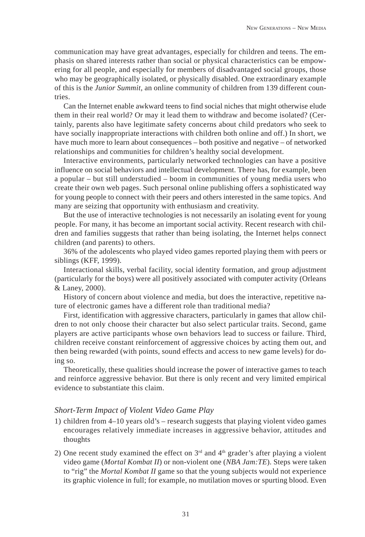communication may have great advantages, especially for children and teens. The emphasis on shared interests rather than social or physical characteristics can be empowering for all people, and especially for members of disadvantaged social groups, those who may be geographically isolated, or physically disabled. One extraordinary example of this is the *Junior Summit*, an online community of children from 139 different countries.

Can the Internet enable awkward teens to find social niches that might otherwise elude them in their real world? Or may it lead them to withdraw and become isolated? (Certainly, parents also have legitimate safety concerns about child predators who seek to have socially inappropriate interactions with children both online and off.) In short, we have much more to learn about consequences – both positive and negative – of networked relationships and communities for children's healthy social development.

Interactive environments, particularly networked technologies can have a positive influence on social behaviors and intellectual development. There has, for example, been a popular – but still understudied – boom in communities of young media users who create their own web pages. Such personal online publishing offers a sophisticated way for young people to connect with their peers and others interested in the same topics. And many are seizing that opportunity with enthusiasm and creativity.

But the use of interactive technologies is not necessarily an isolating event for young people. For many, it has become an important social activity. Recent research with children and families suggests that rather than being isolating, the Internet helps connect children (and parents) to others.

36% of the adolescents who played video games reported playing them with peers or siblings (KFF, 1999).

Interactional skills, verbal facility, social identity formation, and group adjustment (particularly for the boys) were all positively associated with computer activity (Orleans & Laney, 2000).

History of concern about violence and media, but does the interactive, repetitive nature of electronic games have a different role than traditional media?

First, identification with aggressive characters, particularly in games that allow children to not only choose their character but also select particular traits. Second, game players are active participants whose own behaviors lead to success or failure. Third, children receive constant reinforcement of aggressive choices by acting them out, and then being rewarded (with points, sound effects and access to new game levels) for doing so.

Theoretically, these qualities should increase the power of interactive games to teach and reinforce aggressive behavior. But there is only recent and very limited empirical evidence to substantiate this claim.

## *Short-Term Impact of Violent Video Game Play*

- 1) children from 4–10 years old's research suggests that playing violent video games encourages relatively immediate increases in aggressive behavior, attitudes and thoughts
- 2) One recent study examined the effect on  $3<sup>rd</sup>$  and  $4<sup>th</sup>$  grader's after playing a violent video game (*Mortal Kombat II*) or non-violent one (*NBA Jam:TE*). Steps were taken to "rig" the *Mortal Kombat II* game so that the young subjects would not experience its graphic violence in full; for example, no mutilation moves or spurting blood. Even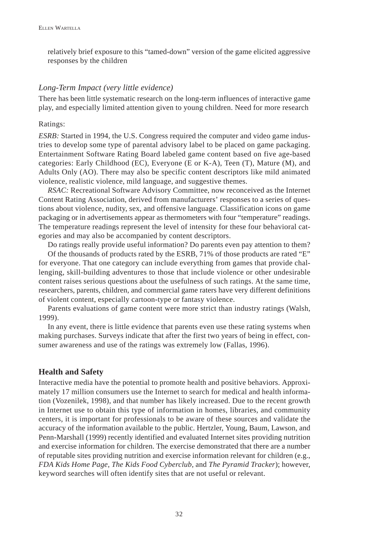relatively brief exposure to this "tamed-down" version of the game elicited aggressive responses by the children

# *Long-Term Impact (very little evidence)*

There has been little systematic research on the long-term influences of interactive game play, and especially limited attention given to young children. Need for more research

## Ratings:

*ESRB:* Started in 1994, the U.S. Congress required the computer and video game industries to develop some type of parental advisory label to be placed on game packaging. Entertainment Software Rating Board labeled game content based on five age-based categories: Early Childhood (EC), Everyone (E or K-A), Teen (T), Mature (M), and Adults Only (AO). There may also be specific content descriptors like mild animated violence, realistic violence, mild language, and suggestive themes.

*RSAC:* Recreational Software Advisory Committee, now reconceived as the Internet Content Rating Association, derived from manufacturers' responses to a series of questions about violence, nudity, sex, and offensive language. Classification icons on game packaging or in advertisements appear as thermometers with four "temperature" readings. The temperature readings represent the level of intensity for these four behavioral categories and may also be accompanied by content descriptors.

Do ratings really provide useful information? Do parents even pay attention to them?

Of the thousands of products rated by the ESRB, 71% of those products are rated "E" for everyone. That one category can include everything from games that provide challenging, skill-building adventures to those that include violence or other undesirable content raises serious questions about the usefulness of such ratings. At the same time, researchers, parents, children, and commercial game raters have very different definitions of violent content, especially cartoon-type or fantasy violence.

Parents evaluations of game content were more strict than industry ratings (Walsh, 1999).

In any event, there is little evidence that parents even use these rating systems when making purchases. Surveys indicate that after the first two years of being in effect, consumer awareness and use of the ratings was extremely low (Fallas, 1996).

# **Health and Safety**

Interactive media have the potential to promote health and positive behaviors. Approximately 17 million consumers use the Internet to search for medical and health information (Vozenilek, 1998), and that number has likely increased. Due to the recent growth in Internet use to obtain this type of information in homes, libraries, and community centers, it is important for professionals to be aware of these sources and validate the accuracy of the information available to the public. Hertzler, Young, Baum, Lawson, and Penn-Marshall (1999) recently identified and evaluated Internet sites providing nutrition and exercise information for children. The exercise demonstrated that there are a number of reputable sites providing nutrition and exercise information relevant for children (e.g., *FDA Kids Home Page*, *The Kids Food Cyberclub*, and *The Pyramid Tracker*); however, keyword searches will often identify sites that are not useful or relevant.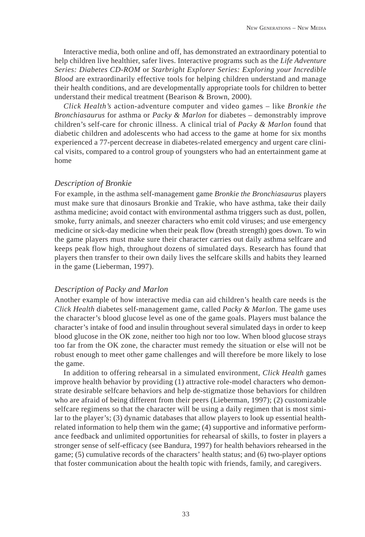Interactive media, both online and off, has demonstrated an extraordinary potential to help children live healthier, safer lives. Interactive programs such as the *Life Adventure Series: Diabetes CD-ROM* or *Starbright Explorer Series: Exploring your Incredible Blood* are extraordinarily effective tools for helping children understand and manage their health conditions, and are developmentally appropriate tools for children to better understand their medical treatment (Bearison & Brown, 2000).

*Click Health's* action-adventure computer and video games – like *Bronkie the Bronchiasaurus* for asthma or *Packy & Marlon* for diabetes – demonstrably improve children's self-care for chronic illness. A clinical trial of *Packy & Marlon* found that diabetic children and adolescents who had access to the game at home for six months experienced a 77-percent decrease in diabetes-related emergency and urgent care clinical visits, compared to a control group of youngsters who had an entertainment game at home

# *Description of Bronkie*

For example, in the asthma self-management game *Bronkie the Bronchiasaurus* players must make sure that dinosaurs Bronkie and Trakie, who have asthma, take their daily asthma medicine; avoid contact with environmental asthma triggers such as dust, pollen, smoke, furry animals, and sneezer characters who emit cold viruses; and use emergency medicine or sick-day medicine when their peak flow (breath strength) goes down. To win the game players must make sure their character carries out daily asthma selfcare and keeps peak flow high, throughout dozens of simulated days. Research has found that players then transfer to their own daily lives the selfcare skills and habits they learned in the game (Lieberman, 1997).

## *Description of Packy and Marlon*

Another example of how interactive media can aid children's health care needs is the *Click Health* diabetes self-management game, called *Packy & Marlon*. The game uses the character's blood glucose level as one of the game goals. Players must balance the character's intake of food and insulin throughout several simulated days in order to keep blood glucose in the OK zone, neither too high nor too low. When blood glucose strays too far from the OK zone, the character must remedy the situation or else will not be robust enough to meet other game challenges and will therefore be more likely to lose the game.

In addition to offering rehearsal in a simulated environment, *Click Health* games improve health behavior by providing (1) attractive role-model characters who demonstrate desirable selfcare behaviors and help de-stigmatize those behaviors for children who are afraid of being different from their peers (Lieberman, 1997); (2) customizable selfcare regimens so that the character will be using a daily regimen that is most similar to the player's; (3) dynamic databases that allow players to look up essential healthrelated information to help them win the game; (4) supportive and informative performance feedback and unlimited opportunities for rehearsal of skills, to foster in players a stronger sense of self-efficacy (see Bandura, 1997) for health behaviors rehearsed in the game; (5) cumulative records of the characters' health status; and (6) two-player options that foster communication about the health topic with friends, family, and caregivers.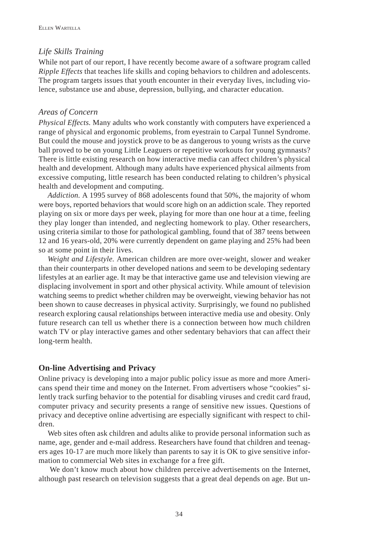## *Life Skills Training*

While not part of our report, I have recently become aware of a software program called *Ripple Effects* that teaches life skills and coping behaviors to children and adolescents. The program targets issues that youth encounter in their everyday lives, including violence, substance use and abuse, depression, bullying, and character education.

## *Areas of Concern*

*Physical Effects.* Many adults who work constantly with computers have experienced a range of physical and ergonomic problems, from eyestrain to Carpal Tunnel Syndrome. But could the mouse and joystick prove to be as dangerous to young wrists as the curve ball proved to be on young Little Leaguers or repetitive workouts for young gymnasts? There is little existing research on how interactive media can affect children's physical health and development. Although many adults have experienced physical ailments from excessive computing, little research has been conducted relating to children's physical health and development and computing.

*Addiction.* A 1995 survey of 868 adolescents found that 50%, the majority of whom were boys, reported behaviors that would score high on an addiction scale. They reported playing on six or more days per week, playing for more than one hour at a time, feeling they play longer than intended, and neglecting homework to play. Other researchers, using criteria similar to those for pathological gambling, found that of 387 teens between 12 and 16 years-old, 20% were currently dependent on game playing and 25% had been so at some point in their lives.

*Weight and Lifestyle.* American children are more over-weight, slower and weaker than their counterparts in other developed nations and seem to be developing sedentary lifestyles at an earlier age. It may be that interactive game use and television viewing are displacing involvement in sport and other physical activity. While amount of television watching seems to predict whether children may be overweight, viewing behavior has not been shown to cause decreases in physical activity. Surprisingly, we found no published research exploring causal relationships between interactive media use and obesity. Only future research can tell us whether there is a connection between how much children watch TV or play interactive games and other sedentary behaviors that can affect their long-term health.

## **On-line Advertising and Privacy**

Online privacy is developing into a major public policy issue as more and more Americans spend their time and money on the Internet. From advertisers whose "cookies" silently track surfing behavior to the potential for disabling viruses and credit card fraud, computer privacy and security presents a range of sensitive new issues. Questions of privacy and deceptive online advertising are especially significant with respect to children.

Web sites often ask children and adults alike to provide personal information such as name, age, gender and e-mail address. Researchers have found that children and teenagers ages 10-17 are much more likely than parents to say it is OK to give sensitive information to commercial Web sites in exchange for a free gift.

 We don't know much about how children perceive advertisements on the Internet, although past research on television suggests that a great deal depends on age. But un-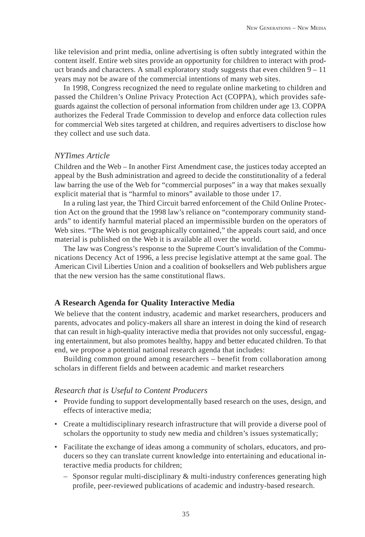like television and print media, online advertising is often subtly integrated within the content itself. Entire web sites provide an opportunity for children to interact with product brands and characters. A small exploratory study suggests that even children  $9 - 11$ years may not be aware of the commercial intentions of many web sites.

In 1998, Congress recognized the need to regulate online marketing to children and passed the Children's Online Privacy Protection Act (COPPA), which provides safeguards against the collection of personal information from children under age 13. COPPA authorizes the Federal Trade Commission to develop and enforce data collection rules for commercial Web sites targeted at children, and requires advertisers to disclose how they collect and use such data.

## *NYTimes Article*

Children and the Web – In another First Amendment case, the justices today accepted an appeal by the Bush administration and agreed to decide the constitutionality of a federal law barring the use of the Web for "commercial purposes" in a way that makes sexually explicit material that is "harmful to minors" available to those under 17.

In a ruling last year, the Third Circuit barred enforcement of the Child Online Protection Act on the ground that the 1998 law's reliance on "contemporary community standards" to identify harmful material placed an impermissible burden on the operators of Web sites. "The Web is not geographically contained," the appeals court said, and once material is published on the Web it is available all over the world.

The law was Congress's response to the Supreme Court's invalidation of the Communications Decency Act of 1996, a less precise legislative attempt at the same goal. The American Civil Liberties Union and a coalition of booksellers and Web publishers argue that the new version has the same constitutional flaws.

## **A Research Agenda for Quality Interactive Media**

We believe that the content industry, academic and market researchers, producers and parents, advocates and policy-makers all share an interest in doing the kind of research that can result in high-quality interactive media that provides not only successful, engaging entertainment, but also promotes healthy, happy and better educated children. To that end, we propose a potential national research agenda that includes:

Building common ground among researchers – benefit from collaboration among scholars in different fields and between academic and market researchers

## *Research that is Useful to Content Producers*

- Provide funding to support developmentally based research on the uses, design, and effects of interactive media;
- Create a multidisciplinary research infrastructure that will provide a diverse pool of scholars the opportunity to study new media and children's issues systematically;
- Facilitate the exchange of ideas among a community of scholars, educators, and producers so they can translate current knowledge into entertaining and educational interactive media products for children;
	- Sponsor regular multi-disciplinary & multi-industry conferences generating high profile, peer-reviewed publications of academic and industry-based research.